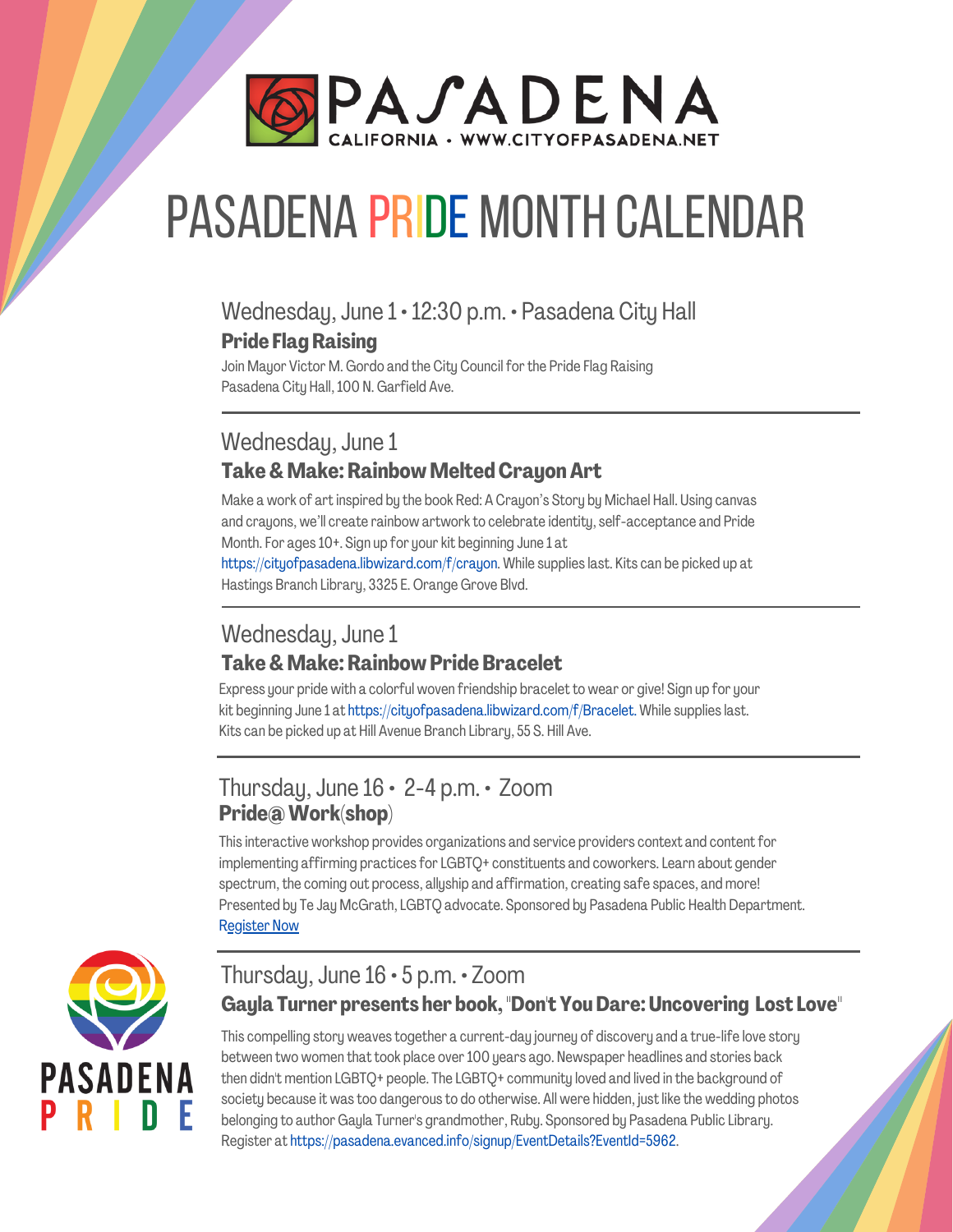

# Pasadena PRIDE Month calendar

#### Wednesday, June 1 · 12:30 p.m. · Pasadena City Hall **Pride FlagRaising**

Join Mayor Victor M. Gordo and the City Council for the Pride Flag Raising Pasadena City Hall,100 N. Garfield Ave.

#### Wednesday, June 1 **Take& Make:Rainbow MeltedCrayonArt**

Make a work of art inspired by the book Red: A Crayon's Story by Michael Hall. Using canvas and crayons, we'll create rainbow artworkto celebrate identity, self-acceptance and Pride Month. For ages 10+. Sign up for your kit beginning June 1 at [https://cityofpasadena.libwizard.com/f/crayon.](https://cityofpasadena.libwizard.com/f/crayon) While supplies last. Kits can be picked up at

Hastings Branch Library, 3325 E. Orange Grove Blvd.

#### Wednesday, June 1 **Take& Make:Rainbow Pride Bracelet**

Express your pride with a colorful woven friendship bracelet to wear or give! Sign up for your kit beginning June 1 at https://cityofpasadena.libwizard.com/f/Bracelet. While supplies last. Kits can be picked up at Hill Avenue Branch Library, 55 S. Hill Ave.

#### Thursday, June  $16 \cdot 2 - 4$  p.m.  $\cdot$  Zoom **Pride@Work(shop)**

This interactive workshop provides organizations and service providers context and content for implementing affirming practices for LGBTQ+ constituents and coworkers. Learn about gender spectrum, the coming out process, allyship and affirmation, creating safe spaces, and more! Presented by Te Jay McGrath, LGBTQ advocate. Sponsored by Pasadena Public Health Department. [Register](https://us02web.zoom.us/meeting/register/tZYvduGorTouHd1HojmmE9qI9tvI3BS9JyG3) Now



#### Thursday, June 16 · 5 p.m. · Zoom **Gayla Turner presents her book, "Don't YouDare:Uncovering Lost Love"**

This compelling story weaves together a current-day journey of discovery and a true-life love story between two women that took place over100 years ago. Newspaper headlines and stories back then didn't mention LGBTQ+ people. The LGBTQ+ community loved and lived in the background of society because it was too dangerous to do otherwise. All were hidden, just like the wedding photos belonging to author Gayla Turner's grandmother, Ruby. Sponsored by Pasadena Public Library. Register at [https://pasadena.evanced.info/signup/EventDetails?EventId=5962.](https://pasadena.evanced.info/signup/EventDetails?EventId=5962)